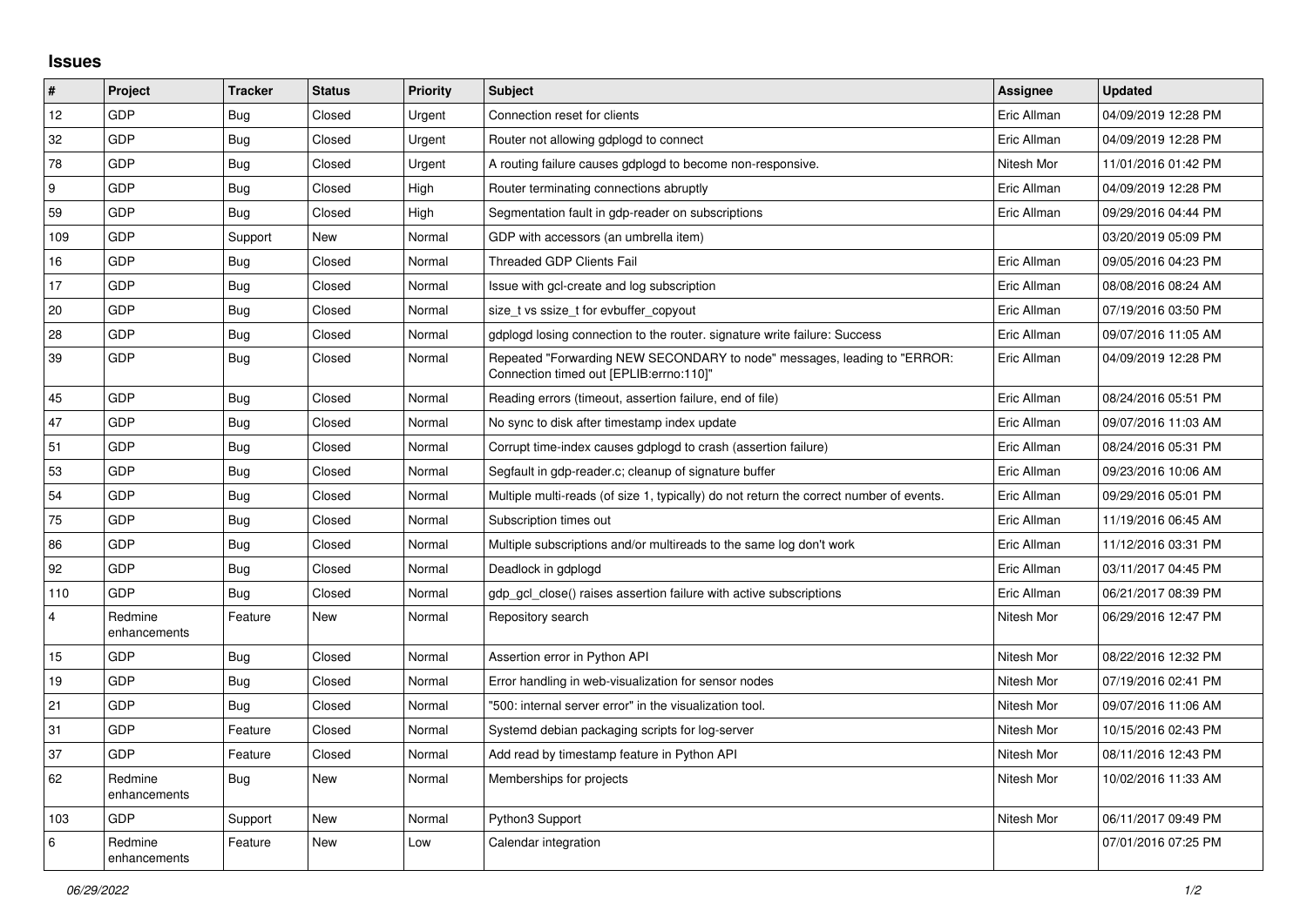## **Issues**

| $\vert$ # | Project                 | <b>Tracker</b> | <b>Status</b> | <b>Priority</b> | <b>Subject</b>                                                                                                      | <b>Assignee</b> | <b>Updated</b>      |
|-----------|-------------------------|----------------|---------------|-----------------|---------------------------------------------------------------------------------------------------------------------|-----------------|---------------------|
| 12        | GDP                     | Bug            | Closed        | Urgent          | Connection reset for clients                                                                                        | Eric Allman     | 04/09/2019 12:28 PM |
| 32        | <b>GDP</b>              | Bug            | Closed        | Urgent          | Router not allowing gdplogd to connect                                                                              | Eric Allman     | 04/09/2019 12:28 PM |
| 78        | GDP                     | Bug            | Closed        | Urgent          | A routing failure causes gdplogd to become non-responsive.                                                          | Nitesh Mor      | 11/01/2016 01:42 PM |
| 9         | <b>GDP</b>              | Bug            | Closed        | High            | Router terminating connections abruptly                                                                             | Eric Allman     | 04/09/2019 12:28 PM |
| 59        | <b>GDP</b>              | <b>Bug</b>     | Closed        | High            | Segmentation fault in gdp-reader on subscriptions                                                                   | Eric Allman     | 09/29/2016 04:44 PM |
| 109       | GDP                     | Support        | New           | Normal          | GDP with accessors (an umbrella item)                                                                               |                 | 03/20/2019 05:09 PM |
| 16        | <b>GDP</b>              | Bug            | Closed        | Normal          | <b>Threaded GDP Clients Fail</b>                                                                                    | Eric Allman     | 09/05/2016 04:23 PM |
| 17        | GDP                     | Bug            | Closed        | Normal          | Issue with gcl-create and log subscription                                                                          | Eric Allman     | 08/08/2016 08:24 AM |
| 20        | GDP                     | Bug            | Closed        | Normal          | size t vs ssize t for evbuffer copyout                                                                              | Eric Allman     | 07/19/2016 03:50 PM |
| 28        | <b>GDP</b>              | <b>Bug</b>     | Closed        | Normal          | gdplogd losing connection to the router, signature write failure: Success                                           | Eric Allman     | 09/07/2016 11:05 AM |
| 39        | GDP                     | <b>Bug</b>     | Closed        | Normal          | Repeated "Forwarding NEW SECONDARY to node" messages, leading to "ERROR:<br>Connection timed out [EPLIB:errno:110]" | Eric Allman     | 04/09/2019 12:28 PM |
| 45        | <b>GDP</b>              | <b>Bug</b>     | Closed        | Normal          | Reading errors (timeout, assertion failure, end of file)                                                            | Eric Allman     | 08/24/2016 05:51 PM |
| 47        | <b>GDP</b>              | <b>Bug</b>     | Closed        | Normal          | No sync to disk after timestamp index update                                                                        | Eric Allman     | 09/07/2016 11:03 AM |
| 51        | GDP                     | Bug            | Closed        | Normal          | Corrupt time-index causes gdplogd to crash (assertion failure)                                                      | Eric Allman     | 08/24/2016 05:31 PM |
| 53        | <b>GDP</b>              | Bug            | Closed        | Normal          | Segfault in gdp-reader.c; cleanup of signature buffer                                                               | Eric Allman     | 09/23/2016 10:06 AM |
| 54        | GDP                     | <b>Bug</b>     | Closed        | Normal          | Multiple multi-reads (of size 1, typically) do not return the correct number of events.                             | Eric Allman     | 09/29/2016 05:01 PM |
| 75        | GDP                     | Bug            | Closed        | Normal          | Subscription times out                                                                                              | Eric Allman     | 11/19/2016 06:45 AM |
| 86        | <b>GDP</b>              | <b>Bug</b>     | Closed        | Normal          | Multiple subscriptions and/or multireads to the same log don't work                                                 | Eric Allman     | 11/12/2016 03:31 PM |
| 92        | GDP                     | <b>Bug</b>     | Closed        | Normal          | Deadlock in gdplogd                                                                                                 | Eric Allman     | 03/11/2017 04:45 PM |
| 110       | <b>GDP</b>              | Bug            | Closed        | Normal          | gdp gcl close() raises assertion failure with active subscriptions                                                  | Eric Allman     | 06/21/2017 08:39 PM |
| 4         | Redmine<br>enhancements | Feature        | New           | Normal          | Repository search                                                                                                   | Nitesh Mor      | 06/29/2016 12:47 PM |
| 15        | GDP                     | Bug            | Closed        | Normal          | Assertion error in Python API                                                                                       | Nitesh Mor      | 08/22/2016 12:32 PM |
| 19        | <b>GDP</b>              | Bug            | Closed        | Normal          | Error handling in web-visualization for sensor nodes                                                                | Nitesh Mor      | 07/19/2016 02:41 PM |
| 21        | GDP                     | <b>Bug</b>     | Closed        | Normal          | "500: internal server error" in the visualization tool.                                                             | Nitesh Mor      | 09/07/2016 11:06 AM |
| 31        | GDP                     | Feature        | Closed        | Normal          | Systemd debian packaging scripts for log-server                                                                     | Nitesh Mor      | 10/15/2016 02:43 PM |
| 37        | <b>GDP</b>              | Feature        | Closed        | Normal          | Add read by timestamp feature in Python API                                                                         | Nitesh Mor      | 08/11/2016 12:43 PM |
| 62        | Redmine<br>enhancements | Bug            | New           | Normal          | Memberships for projects                                                                                            | Nitesh Mor      | 10/02/2016 11:33 AM |
| 103       | <b>GDP</b>              | Support        | <b>New</b>    | Normal          | Python3 Support                                                                                                     | Nitesh Mor      | 06/11/2017 09:49 PM |
| 6         | Redmine<br>enhancements | Feature        | New           | Low             | Calendar integration                                                                                                |                 | 07/01/2016 07:25 PM |